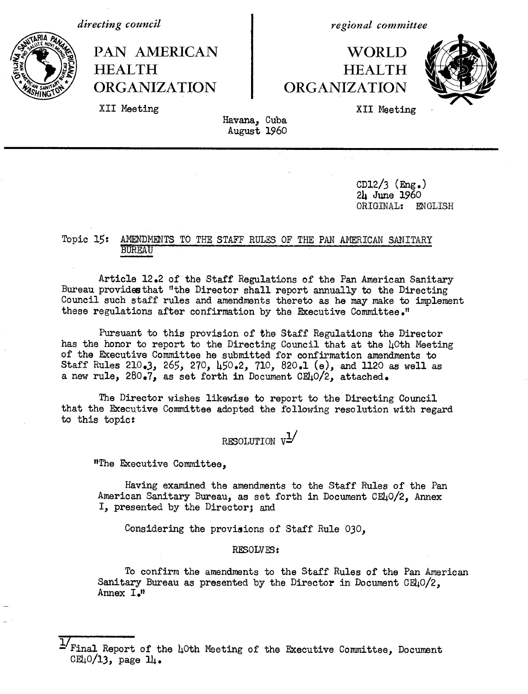*directing council*

**PAN AMERICAN | WORLD** 3{ **HEALTH HEALTH ORGANIZATION | ORGANIZATION** 

*regional committee*



XII Meeting XII Meeting

Havana, Cuba August 1960

> CD12/3 (Eng.) 24 June 1960 ORIGINAL: ENGLISH

## Topic 15: AMENDMENTS TO THE STAFF RULES OF THE PAN AMERICAN SANITARY BUREAU

Article 12.2 of the Staff Regulations of the Pan American Sanitary Bureau providesthat "the Director shall report annually to the Directing Council such staff rules and amendments thereto as he may make to implement these regulations after confirmation by the Executive Committee."

Pursuant to this provision of the Staff Regulations the Director has the honor to report to the Directing Council that at the 40th Meeting of the Executive Committee he submitted for confirmation amendments to Staff Rules 210.3, 265, 270, 450.2, 710, 820.1 (e), and 1120 as well as a new rule,  $280.7$ , as set forth in Document CE40/2, attached.

The Director wishes likewise to report to the Directing Council that the Executive Committee adopted the following resolution with regard to this topic:

# RESOLUTION  $v^{\frac{1}{2}}$

"The Executive Committee,

Having examined the amendments to the Staff Rules of the Pan American Sanitary Bureau, as set forth in Document CE40/2, Annex I, presented by the Director; and

Considering the provisions of Staff Rule 030,

#### RESOLVES:

To confirm the amendments to the Staff Rules of the Pan American Sanitary Bureau as presented by the Director in Document  $CE_4O/2$ , Annex I."

 $\frac{1}{2}$  Final Report of the 40th Meeting of the Executive Committee, Document CE $\mu$ 0/13, page 1 $\mu$ .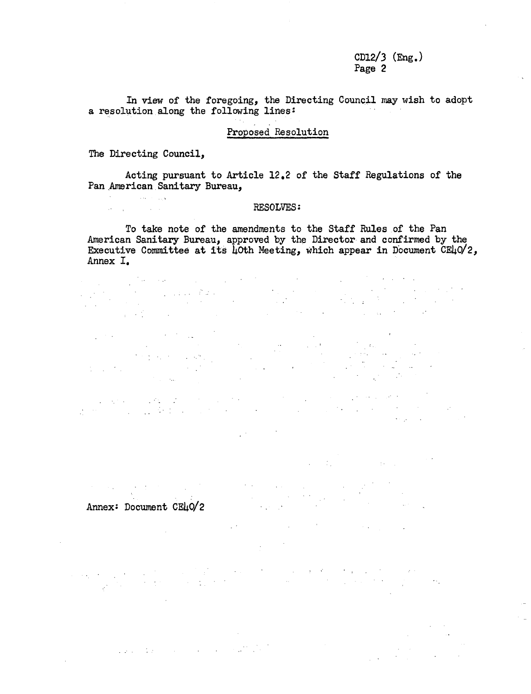### CD12/3  $(Eng.)$ Page 2

In view of the foregoing, the Directing Council may wish to adopt a resolution along the following lines:

#### Proposed Resolution

The Directing Council,

and the company of the company of

 $\Delta \sim 10^7$ 

Acting pursuant to Article 12.2 of the Staff Regulations of the Pan American.Sanitary Bureau,

#### RESOLVES;

To take note of the amendments to the Staff Rules of the Pan American Sanitary Bureau, approved by the Director and confirmed by the Executive Committee at its  $L$ Oth Meeting, which appear in Document CE $L_1$ O $/2$ , Annex I.

 $\label{eq:2.1} \mathcal{L}_{\mathbf{z}}(\mathbf{z}) = \mathcal{L}_{\mathbf{z}}(\mathbf{z}) = \mathcal{L}_{\mathbf{z}}(\mathbf{z}) = \mathcal{L}_{\mathbf{z}}(\mathbf{z}) = \mathcal{L}_{\mathbf{z}}(\mathbf{z}) = \mathcal{L}_{\mathbf{z}}(\mathbf{z}) = \mathcal{L}_{\mathbf{z}}(\mathbf{z})$  $\mathcal{L}_{\text{max}}$  and  $\mathcal{L}_{\text{max}}$  and  $\mathcal{L}_{\text{max}}$  $\mathcal{L}(\mathcal{A})$  and  $\mathcal{L}(\mathcal{A})$  and  $\mathcal{L}(\mathcal{A})$  $\mathcal{L}^{\text{max}}_{\text{max}}$  and  $\mathcal{L}^{\text{max}}_{\text{max}}$  $\frac{1}{2}$  ,  $\frac{1}{2}$  ,  $\frac{1}{2}$  ,  $\frac{1}{2}$  $\mathcal{L}^{\mathcal{L}}(\mathcal{L}^{\mathcal{L}}(\mathcal{L}^{\mathcal{L}}(\mathcal{L}^{\mathcal{L}}(\mathcal{L}^{\mathcal{L}}(\mathcal{L}^{\mathcal{L}}(\mathcal{L}^{\mathcal{L}}(\mathcal{L}^{\mathcal{L}}(\mathcal{L}^{\mathcal{L}}(\mathcal{L}^{\mathcal{L}}(\mathcal{L}^{\mathcal{L}}(\mathcal{L}^{\mathcal{L}}(\mathcal{L}^{\mathcal{L}}(\mathcal{L}^{\mathcal{L}}(\mathcal{L}^{\mathcal{L}}(\mathcal{L}^{\mathcal{L}}(\mathcal{L}^{\mathcal{L$ arang<br>Kabupatèn Kabupatèn Bang  $\mathcal{L}_{\rm{L}}$  and  $\mathcal{L}_{\rm{L}}$  $\label{eq:2} \begin{split} \mathcal{D}^{\text{in}}(\Omega,\mathcal{H})&=\mathcal{D}^{\text{in}}(\Omega,\mathcal{H})\\ &=\mathcal{D}^{\text{in}}(\Omega,\mathcal{H})\end{split}$ 

 $\label{eq:2.1} \mathcal{L}(\mathcal{A}) = \mathcal{L}(\mathcal{A}) = \mathcal{L}(\mathcal{A}) = \mathcal{L}(\mathcal{A})$  $\frac{1}{2} \sum_{i=1}^n \frac{1}{2} \sum_{j=1}^n \frac{1}{2} \sum_{j=1}^n \frac{1}{2} \sum_{j=1}^n \frac{1}{2} \sum_{j=1}^n \frac{1}{2} \sum_{j=1}^n \frac{1}{2} \sum_{j=1}^n \frac{1}{2} \sum_{j=1}^n \frac{1}{2} \sum_{j=1}^n \frac{1}{2} \sum_{j=1}^n \frac{1}{2} \sum_{j=1}^n \frac{1}{2} \sum_{j=1}^n \frac{1}{2} \sum_{j=1}^n \frac{1}{2} \sum_{j=$ 

 $\mathcal{L}^{\mathcal{L}}(\mathcal{L}^{\mathcal{L}})$  and  $\mathcal{L}^{\mathcal{L}}(\mathcal{L}^{\mathcal{L}})$  are the subset of the contribution of  $\mathcal{L}^{\mathcal{L}}$ 

 $\label{eq:2} \begin{split} \mathcal{L}^{2}(\mathcal{F},\mathcal{F}) & = \mathcal{L}^{2}(\mathcal{F},\mathcal{F}) \mathcal{L}^{2}(\mathcal{F},\mathcal{F}) \mathcal{L}^{2}(\mathcal{F},\mathcal{F}) \\ & = \mathcal{L}^{2}(\mathcal{F},\mathcal{F}) \mathcal{L}^{2}(\mathcal{F},\mathcal{F}) \mathcal{L}^{2}(\mathcal{F},\mathcal{F}) \mathcal{L}^{2}(\mathcal{F},\mathcal{F}) \mathcal{L}^{2}(\mathcal{F},\mathcal{F}) \mathcal{L}^{2}(\mathcal{F$ Annex: Document CE40/2 $\label{eq:2} \mathcal{L}(\mathcal{L}^{\text{max}}_{\mathcal{L}}(\mathcal{L}^{\text{max}}_{\mathcal{L}}(\mathcal{L}^{\text{max}}_{\mathcal{L}}(\mathcal{L}^{\text{max}}_{\mathcal{L}^{\text{max}}_{\mathcal{L}}(\mathcal{L}^{\text{max}}_{\mathcal{L}^{\text{max}}_{\mathcal{L}^{\text{max}}_{\mathcal{L}^{\text{max}}_{\mathcal{L}^{\text{max}}_{\mathcal{L}^{\text{max}}_{\mathcal{L}^{\text{max}}_{\mathcal{L}^{\text{max}}_{\mathcal{L}^{\text{max}}_{\$ 

 $\label{eq:2.1} \frac{1}{2} \int_{\mathbb{R}^3} \left| \nabla \phi \right| \, d\mathbf{x} = \int_{\mathbb{R}^3} \left| \nabla \phi \right| \, d\mathbf{x} = \int_{\mathbb{R}^3} \left| \nabla \phi \right| \, d\mathbf{x}$  $\mathcal{O}(\mathcal{O}(1))$  , and the set of  $\mathcal{O}(\mathcal{O}(1))$  $\sim 10^{-1}$ 

a provincia de la final de la caractería de la caractería de la caractería de la caractería de la caractería<br>Las decretas de la provincia de la caractería de la caractería de la caractería de la caractería de la caracte  $\omega = \omega_{\rm eff} - \omega_{\rm c}$ 

 $\sim$  $\mathcal{L}(\mathcal{L}(\mathcal{L})) = \mathcal{L}(\mathcal{L}(\mathcal{L})) = \mathcal{L}(\mathcal{L}(\mathcal{L})) = \mathcal{L}(\mathcal{L}(\mathcal{L})) = \mathcal{L}(\mathcal{L}(\mathcal{L}))$  $\mathcal{L}^{\text{max}}$  ,  $\mathcal{L}^{\text{max}}$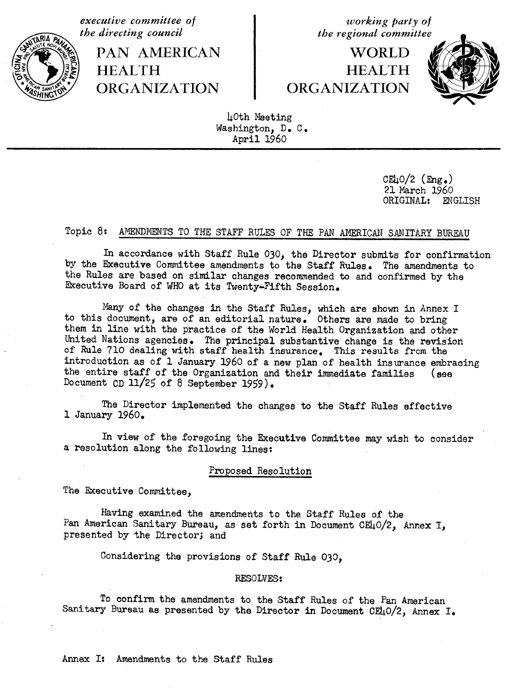*executive committee of*<br> *the directing council*<br> *the regional committee* 

PAN AMERICAN 1 WORLD a ) **HEALTH HEALTH**

*the regional committee* 

# ORGANIZATION CRGANIZATION



40th Meeting Washington, D. C. April 1960

> CE $\mu$ 0/2 (Eng.) 21 March 1960 ORIGINAL: ENGLISH

## Topic 8: AMENDMENTS TO THE STAFF RULES OF THE PAN AMERICAN SANITARY BUREAU

In accordance with Staff Rule 030, the Director submits for confirmation by the Executive Committee amendments to the Staff Rules. The amendments to the Rules are based on similar changes recommended to and confirmed by the Executive Board of WHO at its Twenty-Fifth Session.

Many of the changes in the Staff Rules, which are shown in Annex I to this document, are of an editorial nature. Others are made to bring them in line with the practice of the World Health Organization and other United Nations agencies. The principal substantive change is the revision of Rule 710 dealing with staff health insurance. This results from the introduction as of 1 January 1960 of a new plan of health insurance embracing the entire staff of the Organization and their immediate families (see Document CD 11/25 of 8 September 1959).

The Director implemented the changes to the Staff Rules effective 1 January 1960.

In view of the foregoing the Executive Committee may wish to consider a resolution along the following lines:

## Proposed Resolution

The Executive Committee,

Having examined the amendments to the Staff Rules of the Pan American Sanitary Bureau, as set forth in Document CE40/2, Annex I, presented by the Director; and

Considering the provisions of Staff Rule 030,

#### RESOLVES:

To confirm the amendments to the Staff Rules of the Pan American Sanitary Bureau as presented by the Director in Document CE40/2, Annex I.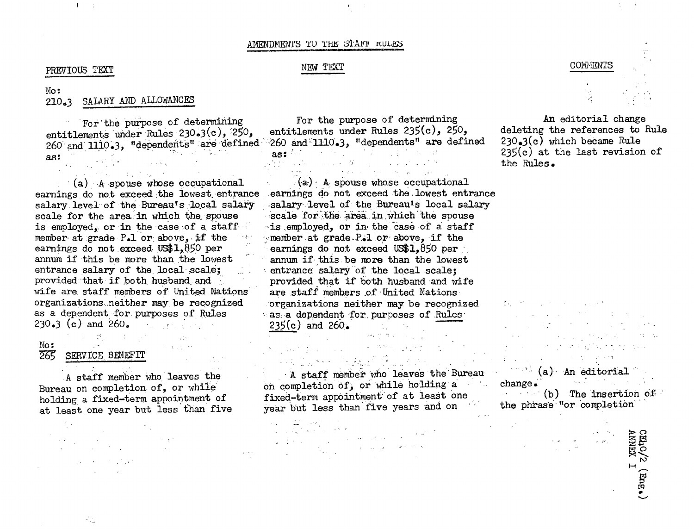### **AMENDMENTS TO THE STAFF RULES**

#### PREVIOUS TEXT

 $A = 12$ 

No:

# 210.3 SALARY AND ALLOWANCES

 $\label{eq:2.1} \Delta \left( \mathcal{L} \right) = \left( \mathcal{L} \left( \mathcal{L} \right) \right) \left( \mathcal{L} \left( \mathcal{L} \right) \right) = \left( \mathcal{L} \left( \mathcal{L} \right) \right) \left( \mathcal{L} \left( \mathcal{L} \right) \right)$ 

For'the purpose of determining entitlements under Rules 230.3(c), 250.  $260$  and  $1110.3$ , "dependents" are defined  $\overline{a}$ s:  $\overline{a}$ 

 $(a)$  A spouse whose occupational earnings do not exceed the lowest entrance salary level of the Bureau's local salary scale for the area in which the spouse is employed, or in the case of a staffmember at grade P.1 or above, if the earnings do not.exceed US\$1,850 per annum if this be more than the lowest entrance salary of the local scale; provided that if both husband and wife are staff members of United Nations' organizations. neither may.be recognized as a dependent for purposes of Rules  $230.3$  (c) and  $260.$ 

#### $No:$ **G2-** SERVICE **BENEFIT**

 $\mathcal{L}_{\text{L}}$  and  $\mathcal{L}_{\text{L}}$  and  $\mathcal{L}_{\text{L}}$ 

 $\mathcal{L}_{\text{int}}$ 

A staff member who leaves the Bureau on completion of, or while' holding a fixed-term appointment of at least one year but less than five

要 しょうぶん アール

For the purpose of determining entitlements under Rules 235(c), 250, '260 and '1110.3, "dependents" are defined  $\sim$  as:  $^{L_{\rm{eff}}}=$   $\sim$   $\sim$   $\sqrt{1-\gamma}$  , and  $\sim$   $\sim$   $\sim$ 

a política de la provincia de la característica  $(a)$  A spouse whose occupational earnings.do not exceed the lowest entrance salary level of the Bureau's local salary scale for the area in which the spouse is employed, or in the case of a staff member at grade-P.1 or above, if the earnings do not exceed US\$1.850 per. annum if. this be more than the lowest entrance salary of the local scale; provided that if both husband and wife are.staff members of United Nations organizations neither may be recognized as a dependent for purposes of Rules  $235(c)$  and  $260$ .  $\label{eq:3.1} \frac{d\mathbf{r}}{d\mathbf{r}} = \frac{1}{2} \left[ \frac{\mathbf{r}}{d\mathbf{r}} + \frac{\mathbf{r}}{d\mathbf{r}} + \frac{\mathbf{r}}{d\mathbf{r}} + \frac{\mathbf{r}}{d\mathbf{r}} \right] \mathbf{r} = \frac{1}{2} \left[ \frac{\mathbf{r}}{d\mathbf{r}} + \frac{\mathbf{r}}{d\mathbf{r}} + \frac{\mathbf{r}}{d\mathbf{r}} \right] \mathbf{r}$ 

A staff member who leaves the Bureau on completion of, or while holding- a fixed-term appointment of at least one year but less than five years and on

 $\label{eq:3.1} \varphi = \mathcal{B}(\theta) \cdot \left( \frac{1}{2} \sum_{i=1}^n \theta_i \right) \cdot \left( \frac{1}{2} \sum_{i=1}^n \theta_i \right) \cdot \left( \frac{1}{2} \sum_{i=1}^n \theta_i \right) \cdot \left( \frac{1}{2} \sum_{i=1}^n \theta_i \right) \cdot \left( \frac{1}{2} \sum_{i=1}^n \theta_i \right) \cdot \left( \frac{1}{2} \sum_{i=1}^n \theta_i \right) \cdot \left( \frac{1}{2} \sum_{i=1}^n \theta_i \right) \cdot \left( \frac{1$ 

gaya bilan salah kecamatan

Konga mitologi kuning pada

 $\Delta$  ,  $\Delta$  ,  $\Delta$ 



An editorial change deleting the references to Rule 230.3(c) which became Rule  $235(c)$  at the last revision of the Rules.

医无力性 化二乙基二乙二乙二乙基苯  $\mathcal{L}^{\mathcal{A}}$  , and the set of the set of the set of the set of the set of the set of the set of the set of the set of the set of the set of the set of the set of the set of the set of the set of the set of the set of t 医阿尔伯氏试验检尿道 计分类 医心包 医心包 医单位  $\mathcal{A}(\mathcal{A})$  , and the set of the set of the set of the set of the set of the set of the set of the set of the set of the set of the set of the set of the set of the set of the set of the set of the set of the set of th  $\epsilon$  , and the state of the state of the state of the state of the state of the state of the state of the state of the state of the state of the state of the state of the state of the state of the state of the state of th · '': (a)' An editorial ''

change.  $\cdot$  (b) The insertion of the phrase "or completion

 $\sim 10^{11}$ 

T XANN<br>MEX I

*en*  $\bullet$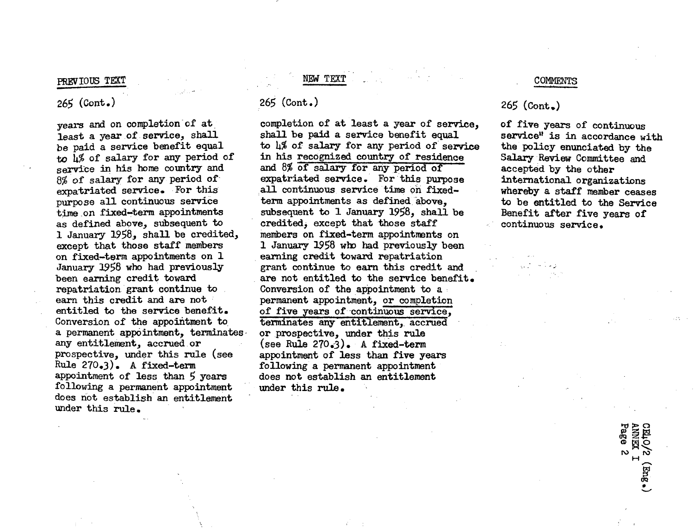# PREVIOUS TEXT NEW YEXT

years and on completion of at least a year of service, shall be paid a service benefit equal to 4% of salary for any period of service in his home country and 8% of salary for any period of expatriated service. For this purpose all continuous service time on fixed-term appointments as defined above, subsequent to 1 January 1958, shall be credited, except that those staff members on fixed-term appointments on 1 January 1958 who had previously been earning credit toward repatriation grant continue to earn this credit and are not entitled to the service benefit. Conversion of the appointment to a permanent appointment, terminates any entitlement, accrued or prospective, under this rule (see Rule  $270.3$ . A fixed-term appointment of less than 5 years following a permanent appointment does not establish an entitlement under this rule.

completion of at least a year of service, shall be paid a service benefit equal to 4% of salary for any period of service in his recognized country of residence and 8% of salary for any period of expatriated service. For this purpose all continuous service time on fixedterm appointments as defined above, subsequent to 1 January 1958, shall be credited, except that those staff members on fixed-term appointments on 1 January 1958 who had previously been earning credit toward repatriation grant continue to earn this credit and are not entitled to the service benefit. Conversion of the appointment to a permanent appointment, or completion of five years of continuous service, terminates any entitlement, accrued or prospective, under this rule (see Rule 270.3). A fixed-term appointment of less than five years following a permanent appointment does not establish an entitlement under this rule.

#### **COMMENTS**

# 265 (Cont.) 265 **(Cont.)** 265 (Cont.)

of five years of continuous service" is in accordance with the policy enunciated by the Salary Review Committee and accepted by the other international organizations whereby a staff member ceases to be entitled to the Service Benefit after five years of continuous service.

o

H

1\_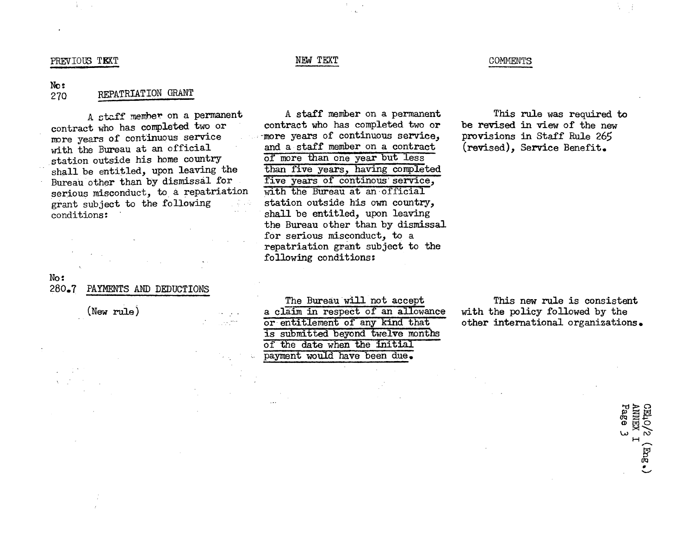#### NEW TEXT COMMENTS

#### No:

#### REPATRIATION GRANT 270

A staff member on a permanent contract who has completed two or more years of continuous service with the Bureau at an official station outside his home country shall be entitled, upon leaving the Bureau other than by dismissal for serious misconduct, to a repatriation grant subject to the following conditions:

## No:

280.7 PAYMENTS AND DEDUCTIONS

 $\mathcal{L}^{\text{max}}$  , where

(New rule)

A staff member on a permanent contract who has completed two or -more years of continuous service, and a staff member on a contract of more than one year but less than five years, having completed five years of continous' service, with the Bureau at an official station outside his own country, shall be entitled, upon leaving the Bureau other than by dismissal for serious misconduct, to a repatriation grant subject to the following conditions:

This rule was required to be revised in view of the new provisions in Staff Rule 265 (revised), Service Benefit.

The Bureau will not accept a claim in respect of an allowance or entitlement of any kind that is submitted beyond twelve months of the date when the initial payment would have been due.

This new rule is consistent with the policy followed by the other international organizations.

> CE40/2 (<br>ANNEX I<br>Page 3  $(30)$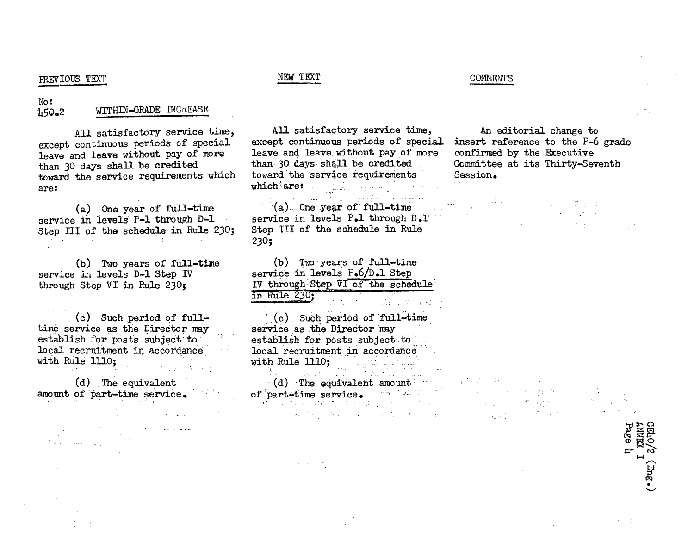## NEW TEXT COMMENTS

#### No:<br>1150.2 **'450.2** WITHIN-GRADE INCREASE

All satisfactory service time, except continuous periods of special leave and leave without pay of more than 30 days shall be credited toward the service requirements which are:

(a) One year of full-time service in levels' P-1 through D-1 Step III of the schedule in Rule 230;

(b) Two years of full-time service in levels D-1 Step IV through Step VI in Rule 230;

. (c) Such period of fulltime service as the Director may establish for posts subject to local recruitment in accordance. with Rule 1110;

(d) The equivalent amount of part-time service.

All satisfactory service time, except continuous periods of special leave and-leave. without pay of more than 30 days shall be credited toward the service requirements which-'are: : . .. ..

 $\hat{C}$ (a)...One. year of full-time  $\hat{C}$ service in levels P.1 through D.1' Step III of the schedule in Rule 230;

(b) Two years of full-time service in levels P.6/D.1 Step IV through Step **VI** of the schedule  $in$  Rule 230;

 $(c)$  Such period of full-time service as the Director mayestablish for posts subject to local recruitment in accordance. with Rule 1110;

 $\mathcal{V}(\mathbf{d})$  The equivalent amount  $\mathcal{V}$ of part-fime service. WEAR CONTROL CONTROL CONTROL

An editorial change to insert reference to the P-6 grade confirmed by the Executive Committee at its Thirty-Seventh Session.

**September** and the process of the 第四章 第二章  $\mathcal{L}^{\mathcal{L}}$  and  $\mathcal{L}^{\mathcal{L}}$  are the set of the set of the set of the set of  $\mathcal{L}^{\mathcal{L}}$  $\label{eq:2} \mathcal{L} = \mathcal{L} \left( \mathcal{L} \right) \mathcal{L} \left( \mathcal{L} \right)$ 

> $\mathsf{f}$ , r, H

**ANNED**<br>Page

F? T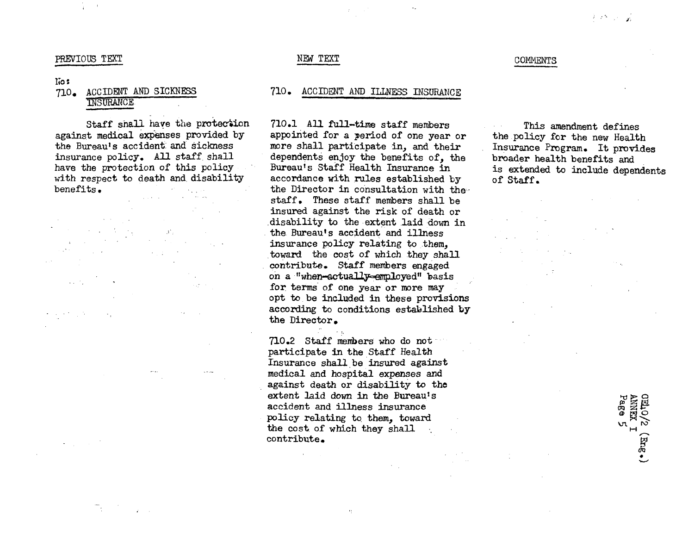#### $\log$

 $\Delta \sim 10^{-2}$ 

# ACCIDENT AND SICKNESS 710. **INSURANCE**

Staff shall have the protection against medical expenses provided by the Bureau's accident and sickness insurance policy. All staff shall have the protection of this policy with respect to death and. disability benefits.

## NEW TEXT COMMENTS

# 710. ACCIDENT AND ILLNESS INSURANCE

710.1 All full-time staff members appointed for a period of one year or more shall participate in, and their dependents enjoy the benefits of, the Bureau's Staff Health Insurance in accordance with rules established by the Director in consultation with thestaff. These staff members shall be insured against the risk of death or disability to the extent laid down in the Bureau's accident and illness insurance policy relating to them, toward the cost of which they shall contribute. Staff members engaged on a "when-actually-employed" basis for terms of one year or more may opt to be included in these provisions according to conditions established by the Director.

710.2 Staff members who do not participate in the Staff Health Insurance shall be insured against medical and hospital expenses and against death or disability to the extent laid down in the Bureau's accident and illness insurance policy relating to them, toward the cost of which they shall contribute.

 $\mathbb{F}_2^*$ 

This amendment defines the policy for the new Health Insurance Program. It provides broader health benefits and is extended to include dependents of Staff.

> $\begin{array}{c}\n0\underline{\mathbb{E}}_1 \circ / 2 \\
> 0\underline{\mathbb{E}}_2 \circ \mathbb{E}_5 \\
> 0.\n\end{array}$ H **I-LM**